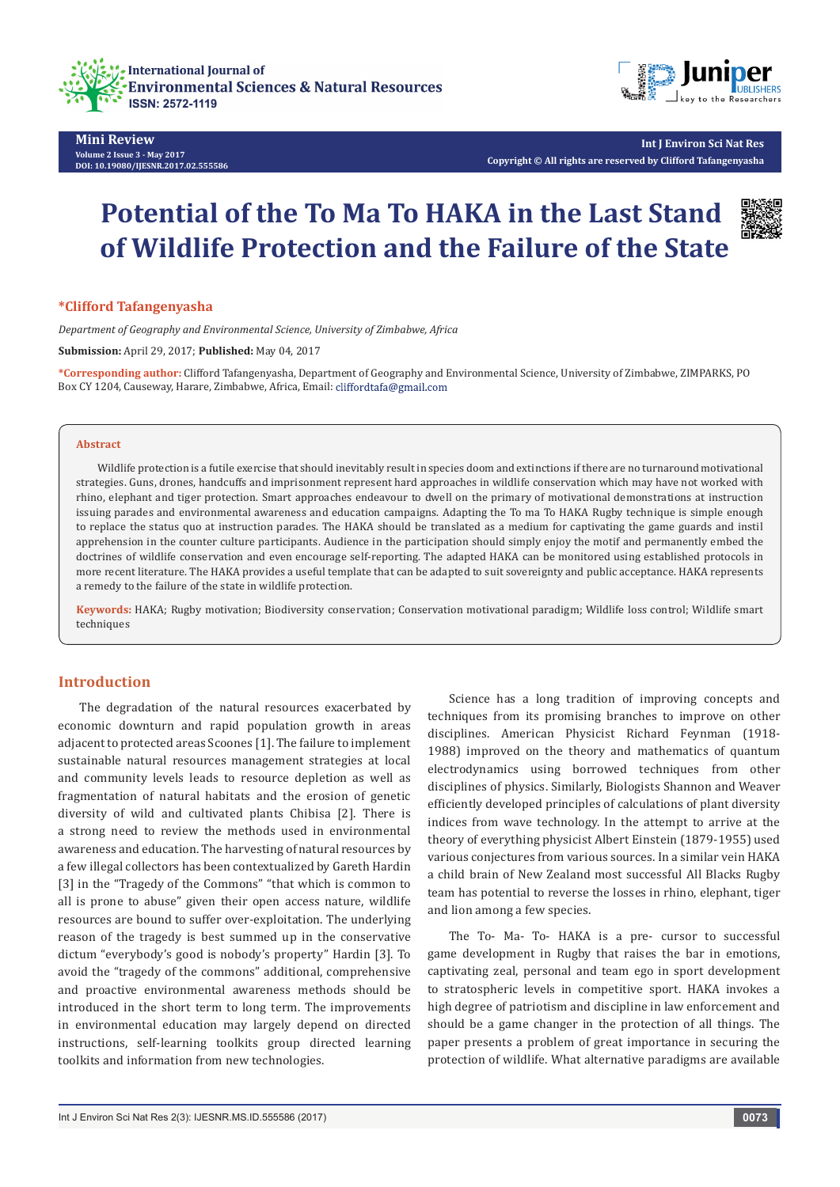



**Mini Review Volume 2 Issue 3 - May 2017 DOI: [10.19080/IJESNR.2017.02.555586](
http://dx.doi.org/10.19080/IJESNR.2017.02.555586)**

**Int J Environ Sci Nat Res Copyright © All rights are reserved by Clifford Tafangenyasha**

# **Potential of the To Ma To HAKA in the Last Stand of Wildlife Protection and the Failure of the State**



#### **\*Clifford Tafangenyasha**

*Department of Geography and Environmental Science, University of Zimbabwe, Africa*

**Submission:** April 29, 2017; **Published:** May 04, 2017

**\*Corresponding author:** Clifford Tafangenyasha, Department of Geography and Environmental Science, University of Zimbabwe, ZIMPARKS, PO Box CY 1204, Causeway, Harare, Zimbabwe, Africa, Email: cliffordtafa@gmail.com

#### **Abstract**

Wildlife protection is a futile exercise that should inevitably result in species doom and extinctions if there are no turnaround motivational strategies. Guns, drones, handcuffs and imprisonment represent hard approaches in wildlife conservation which may have not worked with rhino, elephant and tiger protection. Smart approaches endeavour to dwell on the primary of motivational demonstrations at instruction issuing parades and environmental awareness and education campaigns. Adapting the To ma To HAKA Rugby technique is simple enough to replace the status quo at instruction parades. The HAKA should be translated as a medium for captivating the game guards and instil apprehension in the counter culture participants. Audience in the participation should simply enjoy the motif and permanently embed the doctrines of wildlife conservation and even encourage self-reporting. The adapted HAKA can be monitored using established protocols in more recent literature. The HAKA provides a useful template that can be adapted to suit sovereignty and public acceptance. HAKA represents a remedy to the failure of the state in wildlife protection.

**Keywords:** HAKA; Rugby motivation; Biodiversity conservation; Conservation motivational paradigm; Wildlife loss control; Wildlife smart techniques

### **Introduction**

The degradation of the natural resources exacerbated by economic downturn and rapid population growth in areas adjacent to protected areas Scoones [1]. The failure to implement sustainable natural resources management strategies at local and community levels leads to resource depletion as well as fragmentation of natural habitats and the erosion of genetic diversity of wild and cultivated plants Chibisa [2]. There is a strong need to review the methods used in environmental awareness and education. The harvesting of natural resources by a few illegal collectors has been contextualized by Gareth Hardin [3] in the "Tragedy of the Commons" "that which is common to all is prone to abuse" given their open access nature, wildlife resources are bound to suffer over-exploitation. The underlying reason of the tragedy is best summed up in the conservative dictum "everybody's good is nobody's property" Hardin [3]. To avoid the "tragedy of the commons" additional, comprehensive and proactive environmental awareness methods should be introduced in the short term to long term. The improvements in environmental education may largely depend on directed instructions, self-learning toolkits group directed learning toolkits and information from new technologies.

Science has a long tradition of improving concepts and techniques from its promising branches to improve on other disciplines. American Physicist Richard Feynman (1918- 1988) improved on the theory and mathematics of quantum electrodynamics using borrowed techniques from other disciplines of physics. Similarly, Biologists Shannon and Weaver efficiently developed principles of calculations of plant diversity indices from wave technology. In the attempt to arrive at the theory of everything physicist Albert Einstein (1879-1955) used various conjectures from various sources. In a similar vein HAKA a child brain of New Zealand most successful All Blacks Rugby team has potential to reverse the losses in rhino, elephant, tiger and lion among a few species.

The To- Ma- To- HAKA is a pre- cursor to successful game development in Rugby that raises the bar in emotions, captivating zeal, personal and team ego in sport development to stratospheric levels in competitive sport. HAKA invokes a high degree of patriotism and discipline in law enforcement and should be a game changer in the protection of all things. The paper presents a problem of great importance in securing the protection of wildlife. What alternative paradigms are available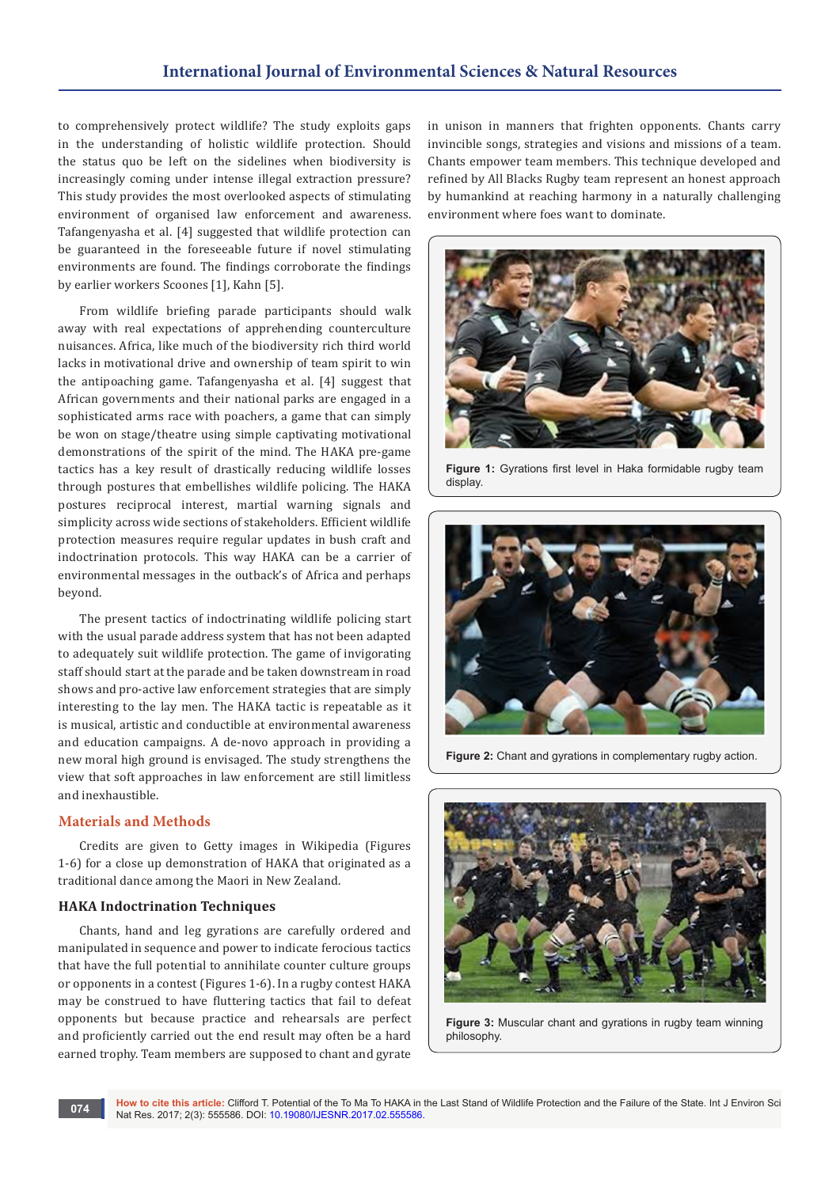to comprehensively protect wildlife? The study exploits gaps in the understanding of holistic wildlife protection. Should the status quo be left on the sidelines when biodiversity is increasingly coming under intense illegal extraction pressure? This study provides the most overlooked aspects of stimulating environment of organised law enforcement and awareness. Tafangenyasha et al. [4] suggested that wildlife protection can be guaranteed in the foreseeable future if novel stimulating environments are found. The findings corroborate the findings by earlier workers Scoones [1], Kahn [5].

From wildlife briefing parade participants should walk away with real expectations of apprehending counterculture nuisances. Africa, like much of the biodiversity rich third world lacks in motivational drive and ownership of team spirit to win the antipoaching game. Tafangenyasha et al. [4] suggest that African governments and their national parks are engaged in a sophisticated arms race with poachers, a game that can simply be won on stage/theatre using simple captivating motivational demonstrations of the spirit of the mind. The HAKA pre-game tactics has a key result of drastically reducing wildlife losses through postures that embellishes wildlife policing. The HAKA postures reciprocal interest, martial warning signals and simplicity across wide sections of stakeholders. Efficient wildlife protection measures require regular updates in bush craft and indoctrination protocols. This way HAKA can be a carrier of environmental messages in the outback's of Africa and perhaps beyond.

The present tactics of indoctrinating wildlife policing start with the usual parade address system that has not been adapted to adequately suit wildlife protection. The game of invigorating staff should start at the parade and be taken downstream in road shows and pro-active law enforcement strategies that are simply interesting to the lay men. The HAKA tactic is repeatable as it is musical, artistic and conductible at environmental awareness and education campaigns. A de-novo approach in providing a new moral high ground is envisaged. The study strengthens the view that soft approaches in law enforcement are still limitless and inexhaustible.

#### **Materials and Methods**

Credits are given to Getty images in Wikipedia (Figures 1-6) for a close up demonstration of HAKA that originated as a traditional dance among the Maori in New Zealand.

## **HAKA Indoctrination Techniques**

Chants, hand and leg gyrations are carefully ordered and manipulated in sequence and power to indicate ferocious tactics that have the full potential to annihilate counter culture groups or opponents in a contest (Figures 1-6). In a rugby contest HAKA may be construed to have fluttering tactics that fail to defeat opponents but because practice and rehearsals are perfect and proficiently carried out the end result may often be a hard earned trophy. Team members are supposed to chant and gyrate in unison in manners that frighten opponents. Chants carry invincible songs, strategies and visions and missions of a team. Chants empower team members. This technique developed and refined by All Blacks Rugby team represent an honest approach by humankind at reaching harmony in a naturally challenging environment where foes want to dominate.



**Figure 1:** Gyrations first level in Haka formidable rugby team display



**Figure 2:** Chant and gyrations in complementary rugby action.



**Figure 3:** Muscular chant and gyrations in rugby team winning philosophy.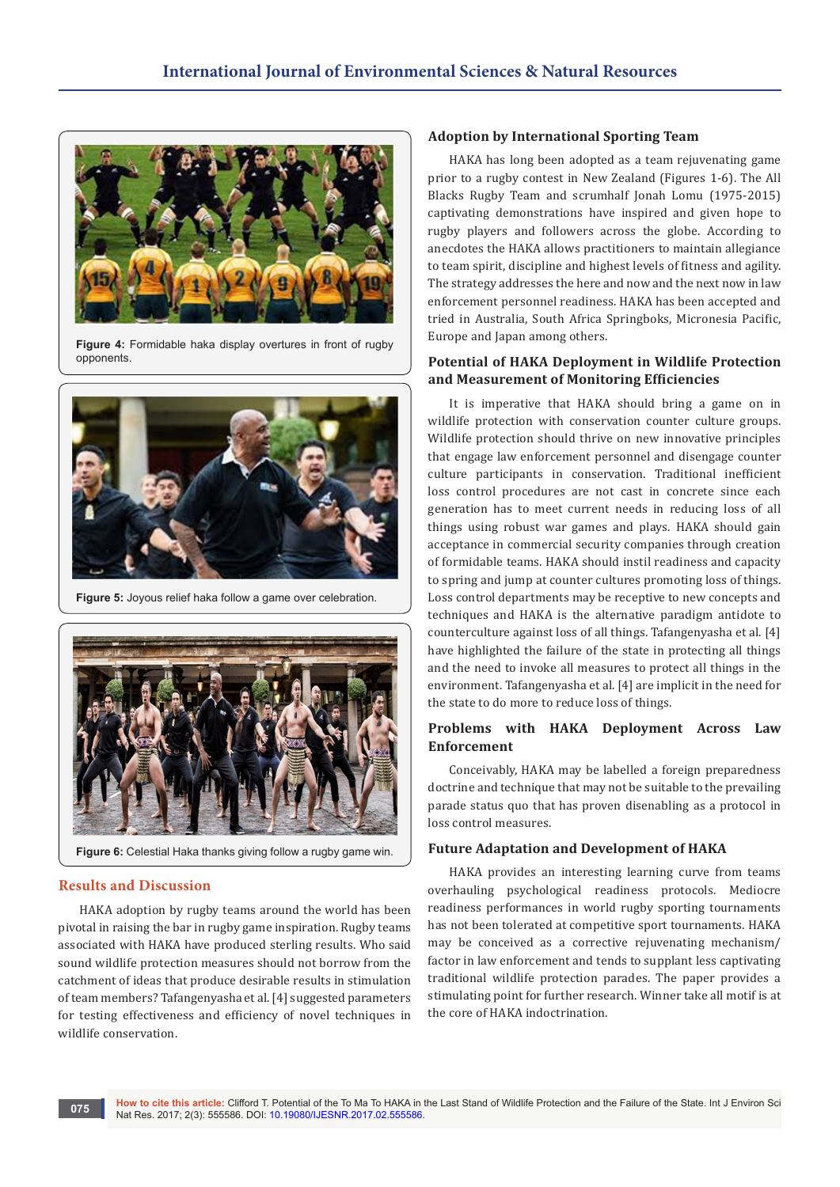

**Figure 4:** Formidable haka display overtures in front of rugby opponents.



**Figure 5:** Joyous relief haka follow a game over celebration.



**Figure 6:** Celestial Haka thanks giving follow a rugby game win.

## **Results and Discussion**

HAKA adoption by rugby teams around the world has been pivotal in raising the bar in rugby game inspiration. Rugby teams associated with HAKA have produced sterling results. Who said sound wildlife protection measures should not borrow from the catchment of ideas that produce desirable results in stimulation of team members? Tafangenyasha et al. [4] suggested parameters for testing effectiveness and efficiency of novel techniques in wildlife conservation.

#### **Adoption by International Sporting Team**

HAKA has long been adopted as a team rejuvenating game prior to a rugby contest in New Zealand (Figures 1-6). The All Blacks Rugby Team and scrumhalf Jonah Lomu (1975-2015) captivating demonstrations have inspired and given hope to rugby players and followers across the globe. According to anecdotes the HAKA allows practitioners to maintain allegiance to team spirit, discipline and highest levels of fitness and agility. The strategy addresses the here and now and the next now in law enforcement personnel readiness. HAKA has been accepted and tried in Australia, South Africa Springboks, Micronesia Pacific, Europe and Japan among others.

## **Potential of HAKA Deployment in Wildlife Protection and Measurement of Monitoring Efficiencies**

It is imperative that HAKA should bring a game on in wildlife protection with conservation counter culture groups. Wildlife protection should thrive on new innovative principles that engage law enforcement personnel and disengage counter culture participants in conservation. Traditional inefficient loss control procedures are not cast in concrete since each generation has to meet current needs in reducing loss of all things using robust war games and plays. HAKA should gain acceptance in commercial security companies through creation of formidable teams. HAKA should instil readiness and capacity to spring and jump at counter cultures promoting loss of things. Loss control departments may be receptive to new concepts and techniques and HAKA is the alternative paradigm antidote to counterculture against loss of all things. Tafangenyasha et al. [4] have highlighted the failure of the state in protecting all things and the need to invoke all measures to protect all things in the environment. Tafangenyasha et al. [4] are implicit in the need for the state to do more to reduce loss of things.

## **Problems with HAKA Deployment Across Law Enforcement**

Conceivably, HAKA may be labelled a foreign preparedness doctrine and technique that may not be suitable to the prevailing parade status quo that has proven disenabling as a protocol in loss control measures.

## **Future Adaptation and Development of HAKA**

HAKA provides an interesting learning curve from teams overhauling psychological readiness protocols. Mediocre readiness performances in world rugby sporting tournaments has not been tolerated at competitive sport tournaments. HAKA may be conceived as a corrective rejuvenating mechanism/ factor in law enforcement and tends to supplant less captivating traditional wildlife protection parades. The paper provides a stimulating point for further research. Winner take all motif is at the core of HAKA indoctrination.